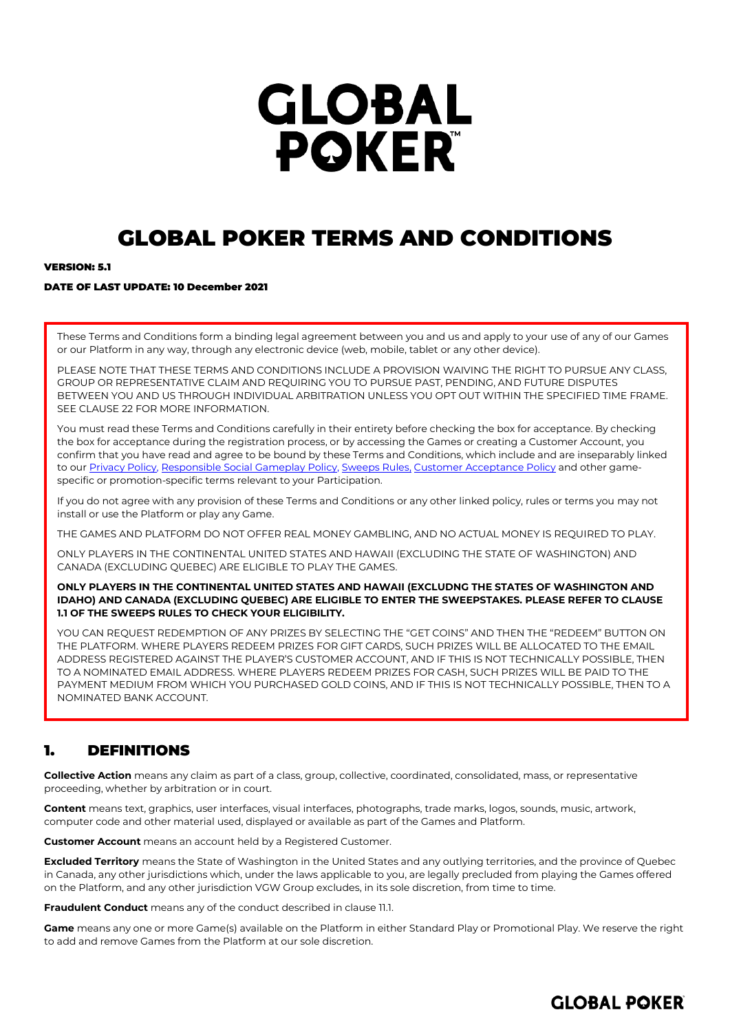# **GLOBAL POKER**

# GLOBAL POKER TERMS AND CONDITIONS

## **VEDSION: 5.1**

## DATE OF LAST UPDATE: 10 December 2021

These Terms and Conditions form a binding legal agreement between you and us and apply to your use of any of our Games or our Platform in any way, through any electronic device (web, mobile, tablet or any other device).

PLEASE NOTE THAT THESE TERMS AND CONDITIONS INCLUDE A PROVISION WAIVING THE RIGHT TO PURSUE ANY CLASS, GROUP OR REPRESENTATIVE CLAIM AND REQUIRING YOU TO PURSUE PAST, PENDING, AND FUTURE DISPUTES BETWEEN YOU AND US THROUGH INDIVIDUAL ARBITRATION UNLESS YOU OPT OUT WITHIN THE SPECIFIED TIME FRAME. SEE CLAUS[E 22](#page-13-0) FOR MORE INFORMATION.

You must read these Terms and Conditions carefully in their entirety before checking the box for acceptance. By checking the box for acceptance during the registration process, or by accessing the Games or creating a Customer Account, you confirm that you have read and agree to be bound by these Terms and Conditions, which include and are inseparably linked to ou[r Privacy Policy,](https://globalpoker.com/privacy-policy) [Responsible Social Gameplay](https://globalpoker.com/responsible-gaming) Policy[, Sweeps Rules,](https://globalpoker.com/sweeps-rules) [Customer Acceptance Policy](https://globalpoker.com/customer-acceptance-policy) and other gamespecific or promotion-specific terms relevant to your Participation.

If you do not agree with any provision of these Terms and Conditions or any other linked policy, rules or terms you may not install or use the Platform or play any Game.

THE GAMES AND PLATFORM DO NOT OFFER REAL MONEY GAMBLING, AND NO ACTUAL MONEY IS REQUIRED TO PLAY.

ONLY PLAYERS IN THE CONTINENTAL UNITED STATES AND HAWAII (EXCLUDING THE STATE OF WASHINGTON) AND CANADA (EXCLUDING QUEBEC) ARE ELIGIBLE TO PLAY THE GAMES.

## **ONLY PLAYERS IN THE CONTINENTAL UNITED STATES AND HAWAII (EXCLUDNG THE STATES OF WASHINGTON AND IDAHO) AND CANADA (EXCLUDING QUEBEC) ARE ELIGIBLE TO ENTER THE SWEEPSTAKES. PLEASE REFER TO CLAUSE 1.1 OF THE SWEEPS RULES TO CHECK YOUR ELIGIBILITY.**

YOU CAN REQUEST REDEMPTION OF ANY PRIZES BY SELECTING THE "GET COINS" AND THEN THE "REDEEM" BUTTON ON THE PLATFORM. WHERE PLAYERS REDEEM PRIZES FOR GIFT CARDS, SUCH PRIZES WILL BE ALLOCATED TO THE EMAIL ADDRESS REGISTERED AGAINST THE PLAYER'S CUSTOMER ACCOUNT, AND IF THIS IS NOT TECHNICALLY POSSIBLE, THEN TO A NOMINATED EMAIL ADDRESS. WHERE PLAYERS REDEEM PRIZES FOR CASH, SUCH PRIZES WILL BE PAID TO THE PAYMENT MEDIUM FROM WHICH YOU PURCHASED GOLD COINS, AND IF THIS IS NOT TECHNICALLY POSSIBLE, THEN TO A NOMINATED BANK ACCOUNT.

## 1. DEFINITIONS

**Collective Action** means any claim as part of a class, group, collective, coordinated, consolidated, mass, or representative proceeding, whether by arbitration or in court.

**Content** means text, graphics, user interfaces, visual interfaces, photographs, trade marks, logos, sounds, music, artwork, computer code and other material used, displayed or available as part of the Games and Platform.

**Customer Account** means an account held by a Registered Customer.

**Excluded Territory** means the State of Washington in the United States and any outlying territories, and the province of Quebec in Canada, any other jurisdictions which, under the laws applicable to you, are legally precluded from playing the Games offered on the Platform, and any other jurisdiction VGW Group excludes, in its sole discretion, from time to time.

**Fraudulent Conduct** means any of the conduct described in clause [11.1.](#page-8-0)

**Game** means any one or more Game(s) available on the Platform in either Standard Play or Promotional Play. We reserve the right to add and remove Games from the Platform at our sole discretion.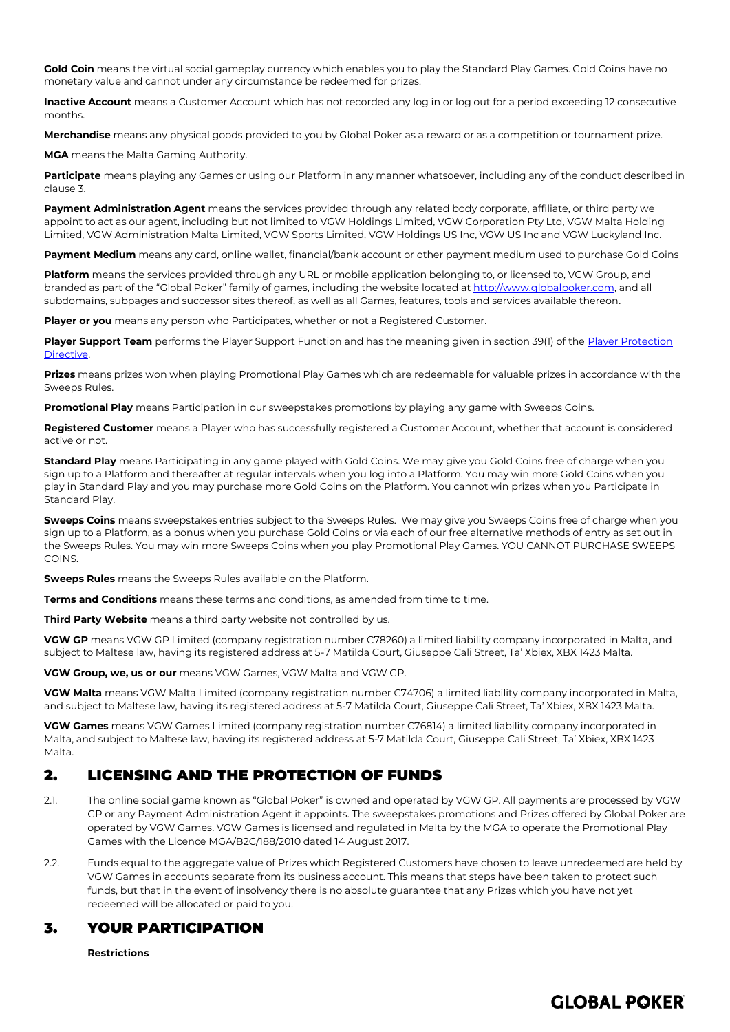**Gold Coin** means the virtual social gameplay currency which enables you to play the Standard Play Games. Gold Coins have no monetary value and cannot under any circumstance be redeemed for prizes.

**Inactive Account** means a Customer Account which has not recorded any log in or log out for a period exceeding 12 consecutive months.

**Merchandise** means any physical goods provided to you by Global Poker as a reward or as a competition or tournament prize.

**MGA** means the Malta Gaming Authority.

**Participate** means playing any Games or using our Platform in any manner whatsoever, including any of the conduct described in claus[e 3.](#page-1-0) 

**Payment Administration Agent** means the services provided through any related body corporate, affiliate, or third party we appoint to act as our agent, including but not limited to VGW Holdings Limited, VGW Corporation Pty Ltd, VGW Malta Holding Limited, VGW Administration Malta Limited, VGW Sports Limited, VGW Holdings US Inc, VGW US Inc and VGW Luckyland Inc.

**Payment Medium** means any card, online wallet, financial/bank account or other payment medium used to purchase Gold Coins

**Platform** means the services provided through any URL or mobile application belonging to, or licensed to, VGW Group, and branded as part of the "Global Poker" family of games, including the website located a[t http://www.globalpoker.com,](http://www.globalpoker.com/) and all subdomains, subpages and successor sites thereof, as well as all Games, features, tools and services available thereon.

**Player or you** means any person who Participates, whether or not a Registered Customer.

**Player Support Team** performs the Player Support Function and has the meaning given in section 39(1) of th[e Player Protection](https://www.mga.org.mt/wp-content/uploads/Directive-2-of-2018-Player-Protection-Directive-3.pdf)  **Directive** 

**Prizes** means prizes won when playing Promotional Play Games which are redeemable for valuable prizes in accordance with the Sweeps Rules.

**Promotional Play** means Participation in our sweepstakes promotions by playing any game with Sweeps Coins.

**Registered Customer** means a Player who has successfully registered a Customer Account, whether that account is considered active or not.

**Standard Play** means Participating in any game played with Gold Coins. We may give you Gold Coins free of charge when you sign up to a Platform and thereafter at regular intervals when you log into a Platform. You may win more Gold Coins when you play in Standard Play and you may purchase more Gold Coins on the Platform. You cannot win prizes when you Participate in Standard Play.

**Sweeps Coins** means sweepstakes entries subject to the Sweeps Rules. We may give you Sweeps Coins free of charge when you sign up to a Platform, as a bonus when you purchase Gold Coins or via each of our free alternative methods of entry as set out in the Sweeps Rules. You may win more Sweeps Coins when you play Promotional Play Games. YOU CANNOT PURCHASE SWEEPS **COINS** 

**Sweeps Rules** means the Sweeps Rules available on the Platform.

**Terms and Conditions** means these terms and conditions, as amended from time to time.

**Third Party Website** means a third party website not controlled by us.

**VGW GP** means VGW GP Limited (company registration number C78260) a limited liability company incorporated in Malta, and subject to Maltese law, having its registered address at 5-7 Matilda Court, Giuseppe Cali Street, Ta' Xbiex, XBX 1423 Malta.

**VGW Group, we, us or our** means VGW Games, VGW Malta and VGW GP.

**VGW Malta** means VGW Malta Limited (company registration number C74706) a limited liability company incorporated in Malta, and subject to Maltese law, having its registered address at 5-7 Matilda Court, Giuseppe Cali Street, Ta' Xbiex, XBX 1423 Malta.

**VGW Games** means VGW Games Limited (company registration number C76814) a limited liability company incorporated in Malta, and subject to Maltese law, having its registered address at 5-7 Matilda Court, Giuseppe Cali Street, Ta' Xbiex, XBX 1423 Malta.

## 2. LICENSING AND THE PROTECTION OF FUNDS

- 2.1. The online social game known as "Global Poker" is owned and operated by VGW GP. All payments are processed by VGW GP or any Payment Administration Agent it appoints. The sweepstakes promotions and Prizes offered by Global Poker are operated by VGW Games. VGW Games is licensed and regulated in Malta by the MGA to operate the Promotional Play Games with the Licence MGA/B2C/188/2010 dated 14 August 2017.
- 2.2. Funds equal to the aggregate value of Prizes which Registered Customers have chosen to leave unredeemed are held by VGW Games in accounts separate from its business account. This means that steps have been taken to protect such funds, but that in the event of insolvency there is no absolute guarantee that any Prizes which you have not yet redeemed will be allocated or paid to you.

## <span id="page-1-0"></span>3. YOUR PARTICIPATION

**Restrictions**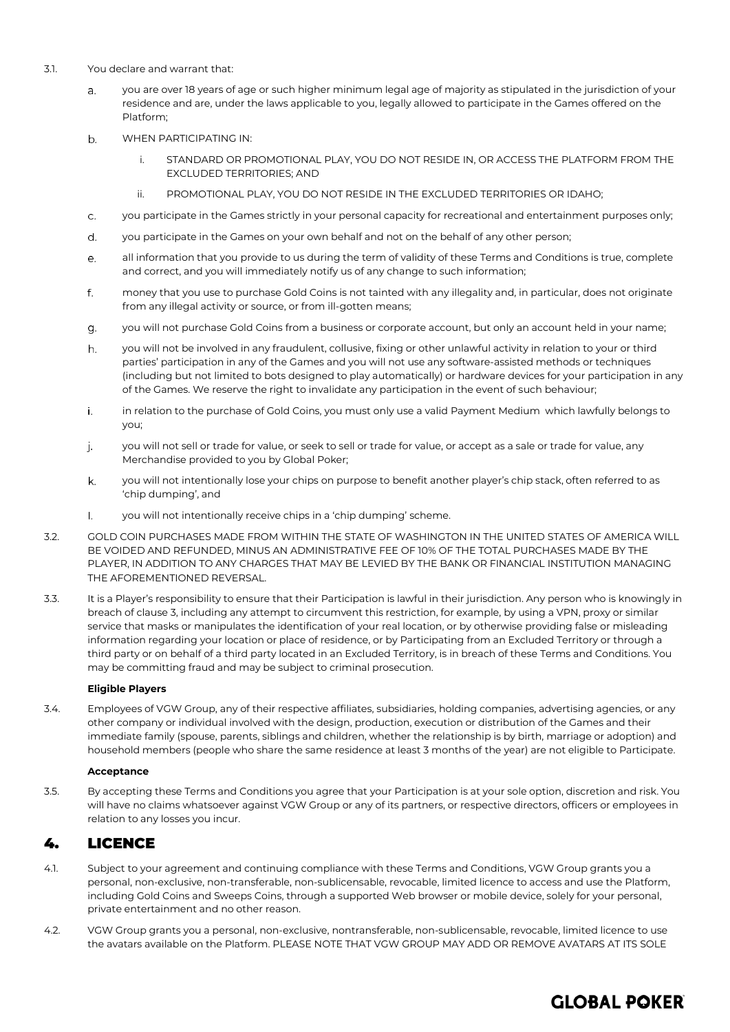- 3.1. You declare and warrant that:
	- you are over 18 years of age or such higher minimum legal age of majority as stipulated in the jurisdiction of your  $\overline{a}$ . residence and are, under the laws applicable to you, legally allowed to participate in the Games offered on the Platform;
	- b. WHEN PARTICIPATING IN:
		- i. STANDARD OR PROMOTIONAL PLAY, YOU DO NOT RESIDE IN, OR ACCESS THE PLATFORM FROM THE EXCLUDED TERRITORIES; AND
		- ii. PROMOTIONAL PLAY, YOU DO NOT RESIDE IN THE EXCLUDED TERRITORIES OR IDAHO;
	- you participate in the Games strictly in your personal capacity for recreational and entertainment purposes only; C.
	- d. you participate in the Games on your own behalf and not on the behalf of any other person;
	- all information that you provide to us during the term of validity of these Terms and Conditions is true, complete e. and correct, and you will immediately notify us of any change to such information;
	- f. money that you use to purchase Gold Coins is not tainted with any illegality and, in particular, does not originate from any illegal activity or source, or from ill-gotten means;
	- you will not purchase Gold Coins from a business or corporate account, but only an account held in your name; g.
	- h. you will not be involved in any fraudulent, collusive, fixing or other unlawful activity in relation to your or third parties' participation in any of the Games and you will not use any software-assisted methods or techniques (including but not limited to bots designed to play automatically) or hardware devices for your participation in any of the Games. We reserve the right to invalidate any participation in the event of such behaviour;
	- i. in relation to the purchase of Gold Coins, you must only use a valid Payment Medium which lawfully belongs to you;
	- j. you will not sell or trade for value, or seek to sell or trade for value, or accept as a sale or trade for value, any Merchandise provided to you by Global Poker;
	- k. you will not intentionally lose your chips on purpose to benefit another player's chip stack, often referred to as 'chip dumping', and
	- you will not intentionally receive chips in a 'chip dumping' scheme.  $\mathbf{L}$
- 3.2. GOLD COIN PURCHASES MADE FROM WITHIN THE STATE OF WASHINGTON IN THE UNITED STATES OF AMERICA WILL BE VOIDED AND REFUNDED, MINUS AN ADMINISTRATIVE FEE OF 10% OF THE TOTAL PURCHASES MADE BY THE PLAYER, IN ADDITION TO ANY CHARGES THAT MAY BE LEVIED BY THE BANK OR FINANCIAL INSTITUTION MANAGING THE AFOREMENTIONED REVERSAL.
- 3.3. It is a Player's responsibility to ensure that their Participation is lawful in their jurisdiction. Any person who is knowingly in breach of clause [3,](#page-1-0) including any attempt to circumvent this restriction, for example, by using a VPN, proxy or similar service that masks or manipulates the identification of your real location, or by otherwise providing false or misleading information regarding your location or place of residence, or by Participating from an Excluded Territory or through a third party or on behalf of a third party located in an Excluded Territory, is in breach of these Terms and Conditions. You may be committing fraud and may be subject to criminal prosecution.

## **Eligible Players**

3.4. Employees of VGW Group, any of their respective affiliates, subsidiaries, holding companies, advertising agencies, or any other company or individual involved with the design, production, execution or distribution of the Games and their immediate family (spouse, parents, siblings and children, whether the relationship is by birth, marriage or adoption) and household members (people who share the same residence at least 3 months of the year) are not eligible to Participate.

## **Acceptance**

3.5. By accepting these Terms and Conditions you agree that your Participation is at your sole option, discretion and risk. You will have no claims whatsoever against VGW Group or any of its partners, or respective directors, officers or employees in relation to any losses you incur.

## 4. LICENCE

- 4.1. Subject to your agreement and continuing compliance with these Terms and Conditions, VGW Group grants you a personal, non-exclusive, non-transferable, non-sublicensable, revocable, limited licence to access and use the Platform, including Gold Coins and Sweeps Coins, through a supported Web browser or mobile device, solely for your personal, private entertainment and no other reason.
- 4.2. VGW Group grants you a personal, non-exclusive, nontransferable, non-sublicensable, revocable, limited licence to use the avatars available on the Platform. PLEASE NOTE THAT VGW GROUP MAY ADD OR REMOVE AVATARS AT ITS SOLE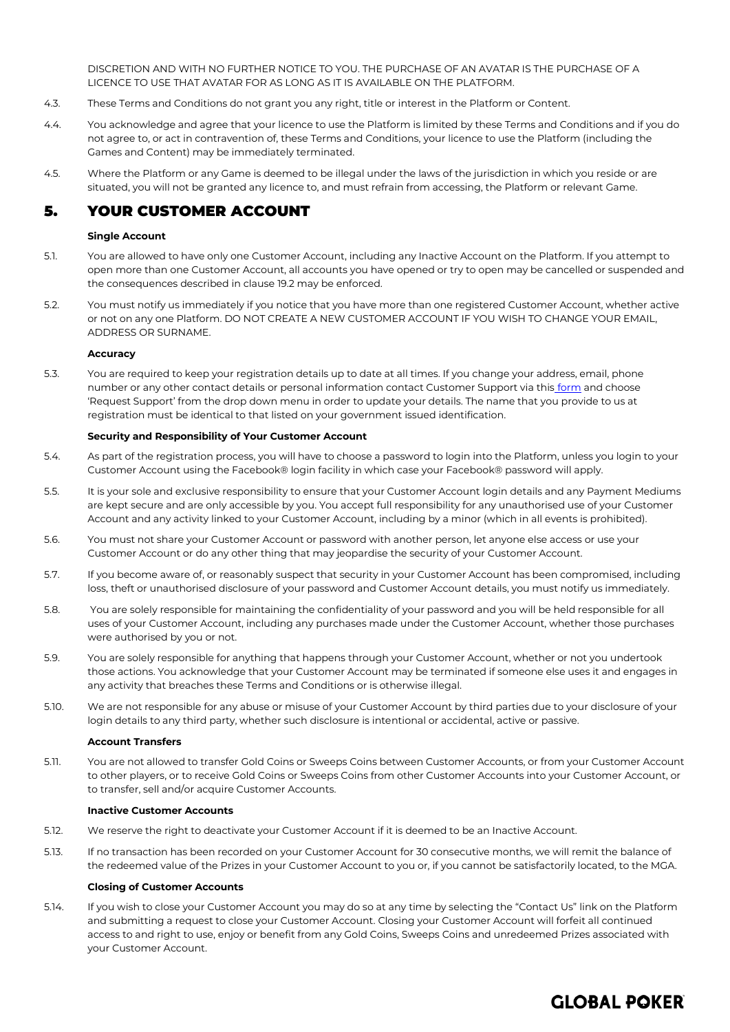DISCRETION AND WITH NO FURTHER NOTICE TO YOU. THE PURCHASE OF AN AVATAR IS THE PURCHASE OF A LICENCE TO USE THAT AVATAR FOR AS LONG AS IT IS AVAILABLE ON THE PLATFORM.

- 4.3. These Terms and Conditions do not grant you any right, title or interest in the Platform or Content.
- 4.4. You acknowledge and agree that your licence to use the Platform is limited by these Terms and Conditions and if you do not agree to, or act in contravention of, these Terms and Conditions, your licence to use the Platform (including the Games and Content) may be immediately terminated.
- 4.5. Where the Platform or any Game is deemed to be illegal under the laws of the jurisdiction in which you reside or are situated, you will not be granted any licence to, and must refrain from accessing, the Platform or relevant Game.

## 5. YOUR CUSTOMER ACCOUNT

## **Single Account**

- 5.1. You are allowed to have only one Customer Account, including any Inactive Account on the Platform. If you attempt to open more than one Customer Account, all accounts you have opened or try to open may be cancelled or suspended and the consequences described in claus[e 19.2](#page-12-0) may be enforced.
- 5.2. You must notify us immediately if you notice that you have more than one registered Customer Account, whether active or not on any one Platform. DO NOT CREATE A NEW CUSTOMER ACCOUNT IF YOU WISH TO CHANGE YOUR EMAIL, ADDRESS OR SURNAME.

## **Accuracy**

5.3. You are required to keep your registration details up to date at all times. If you change your address, email, phone number or any other contact details or personal in[form](https://globalpoker.zendesk.com/hc/en-us/requests/new)ation contact Customer Support via this form and choose 'Request Support' from the drop down menu in order to update your details. The name that you provide to us at registration must be identical to that listed on your government issued identification.

## **Security and Responsibility of Your Customer Account**

- 5.4. As part of the registration process, you will have to choose a password to login into the Platform, unless you login to your Customer Account using the Facebook® login facility in which case your Facebook® password will apply.
- 5.5. It is your sole and exclusive responsibility to ensure that your Customer Account login details and any Payment Mediums are kept secure and are only accessible by you. You accept full responsibility for any unauthorised use of your Customer Account and any activity linked to your Customer Account, including by a minor (which in all events is prohibited).
- 5.6. You must not share your Customer Account or password with another person, let anyone else access or use your Customer Account or do any other thing that may jeopardise the security of your Customer Account.
- 5.7. If you become aware of, or reasonably suspect that security in your Customer Account has been compromised, including loss, theft or unauthorised disclosure of your password and Customer Account details, you must notify us immediately.
- 5.8. You are solely responsible for maintaining the confidentiality of your password and you will be held responsible for all uses of your Customer Account, including any purchases made under the Customer Account, whether those purchases were authorised by you or not.
- 5.9. You are solely responsible for anything that happens through your Customer Account, whether or not you undertook those actions. You acknowledge that your Customer Account may be terminated if someone else uses it and engages in any activity that breaches these Terms and Conditions or is otherwise illegal.
- 5.10. We are not responsible for any abuse or misuse of your Customer Account by third parties due to your disclosure of your login details to any third party, whether such disclosure is intentional or accidental, active or passive.

#### **Account Transfers**

5.11. You are not allowed to transfer Gold Coins or Sweeps Coins between Customer Accounts, or from your Customer Account to other players, or to receive Gold Coins or Sweeps Coins from other Customer Accounts into your Customer Account, or to transfer, sell and/or acquire Customer Accounts.

#### **Inactive Customer Accounts**

- 5.12. We reserve the right to deactivate your Customer Account if it is deemed to be an Inactive Account.
- 5.13. If no transaction has been recorded on your Customer Account for 30 consecutive months, we will remit the balance of the redeemed value of the Prizes in your Customer Account to you or, if you cannot be satisfactorily located, to the MGA.

#### **Closing of Customer Accounts**

5.14. If you wish to close your Customer Account you may do so at any time by selecting the "Contact Us" link on the Platform and submitting a request to close your Customer Account. Closing your Customer Account will forfeit all continued access to and right to use, enjoy or benefit from any Gold Coins, Sweeps Coins and unredeemed Prizes associated with your Customer Account.

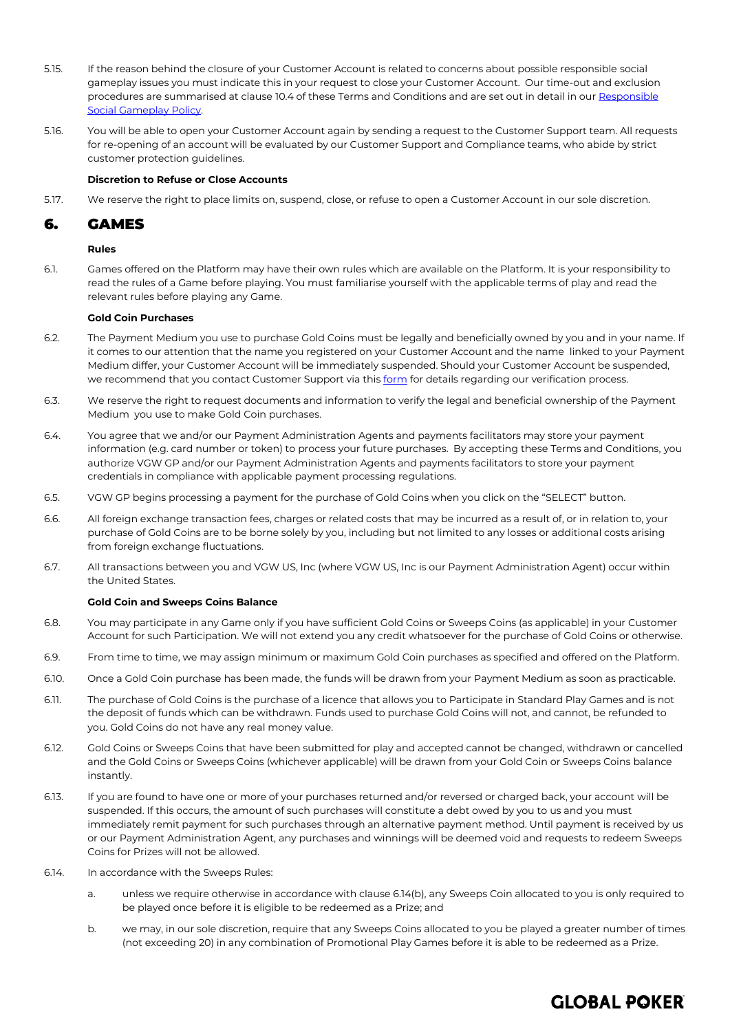- 5.15. If the reason behind the closure of your Customer Account is related to concerns about possible responsible social gameplay issues you must indicate this in your request to close your Customer Account. Our time-out and exclusion procedures are summarised at claus[e 10.4](#page-8-1) of these Terms and Conditions and are set out in detail in our Responsible [Social Gameplay](https://globalpoker.com/responsible-gaming) Policy.
- 5.16. You will be able to open your Customer Account again by sending a request to the Customer Support team. All requests for re-opening of an account will be evaluated by our Customer Support and Compliance teams, who abide by strict customer protection guidelines.

## **Discretion to Refuse or Close Accounts**

5.17. We reserve the right to place limits on, suspend, close, or refuse to open a Customer Account in our sole discretion.

## 6. GAMES

## **Rules**

6.1. Games offered on the Platform may have their own rules which are available on the Platform. It is your responsibility to read the rules of a Game before playing. You must familiarise yourself with the applicable terms of play and read the relevant rules before playing any Game.

## **Gold Coin Purchases**

- 6.2. The Payment Medium you use to purchase Gold Coins must be legally and beneficially owned by you and in your name. If it comes to our attention that the name you registered on your Customer Account and the name linked to your Payment Medium differ, your Customer Account will be immediately suspended. Should your Customer Account be suspended, we recommend that you contact Customer Support via this [form](https://globalpoker.zendesk.com/hc/en-us/requests/new) for details regarding our verification process.
- 6.3. We reserve the right to request documents and information to verify the legal and beneficial ownership of the Payment Medium you use to make Gold Coin purchases.
- 6.4. You agree that we and/or our Payment Administration Agents and payments facilitators may store your payment information (e.g. card number or token) to process your future purchases. By accepting these Terms and Conditions, you authorize VGW GP and/or our Payment Administration Agents and payments facilitators to store your payment credentials in compliance with applicable payment processing regulations.
- 6.5. VGW GP begins processing a payment for the purchase of Gold Coins when you click on the "SELECT" button.
- 6.6. All foreign exchange transaction fees, charges or related costs that may be incurred as a result of, or in relation to, your purchase of Gold Coins are to be borne solely by you, including but not limited to any losses or additional costs arising from foreign exchange fluctuations.
- 6.7. All transactions between you and VGW US, Inc (where VGW US, Inc is our Payment Administration Agent) occur within the United States.

#### **Gold Coin and Sweeps Coins Balance**

- 6.8. You may participate in any Game only if you have sufficient Gold Coins or Sweeps Coins (as applicable) in your Customer Account for such Participation. We will not extend you any credit whatsoever for the purchase of Gold Coins or otherwise.
- 6.9. From time to time, we may assign minimum or maximum Gold Coin purchases as specified and offered on the Platform.
- 6.10. Once a Gold Coin purchase has been made, the funds will be drawn from your Payment Medium as soon as practicable.
- 6.11. The purchase of Gold Coins is the purchase of a licence that allows you to Participate in Standard Play Games and is not the deposit of funds which can be withdrawn. Funds used to purchase Gold Coins will not, and cannot, be refunded to you. Gold Coins do not have any real money value.
- 6.12. Gold Coins or Sweeps Coins that have been submitted for play and accepted cannot be changed, withdrawn or cancelled and the Gold Coins or Sweeps Coins (whichever applicable) will be drawn from your Gold Coin or Sweeps Coins balance instantly.
- 6.13. If you are found to have one or more of your purchases returned and/or reversed or charged back, your account will be suspended. If this occurs, the amount of such purchases will constitute a debt owed by you to us and you must immediately remit payment for such purchases through an alternative payment method. Until payment is received by us or our Payment Administration Agent, any purchases and winnings will be deemed void and requests to redeem Sweeps Coins for Prizes will not be allowed.
- <span id="page-4-0"></span>6.14. In accordance with the Sweeps Rules:
	- a. unless we require otherwise in accordance with clause [6.14\(](#page-4-0)b), any Sweeps Coin allocated to you is only required to be played once before it is eligible to be redeemed as a Prize; and
	- b. we may, in our sole discretion, require that any Sweeps Coins allocated to you be played a greater number of times (not exceeding 20) in any combination of Promotional Play Games before it is able to be redeemed as a Prize.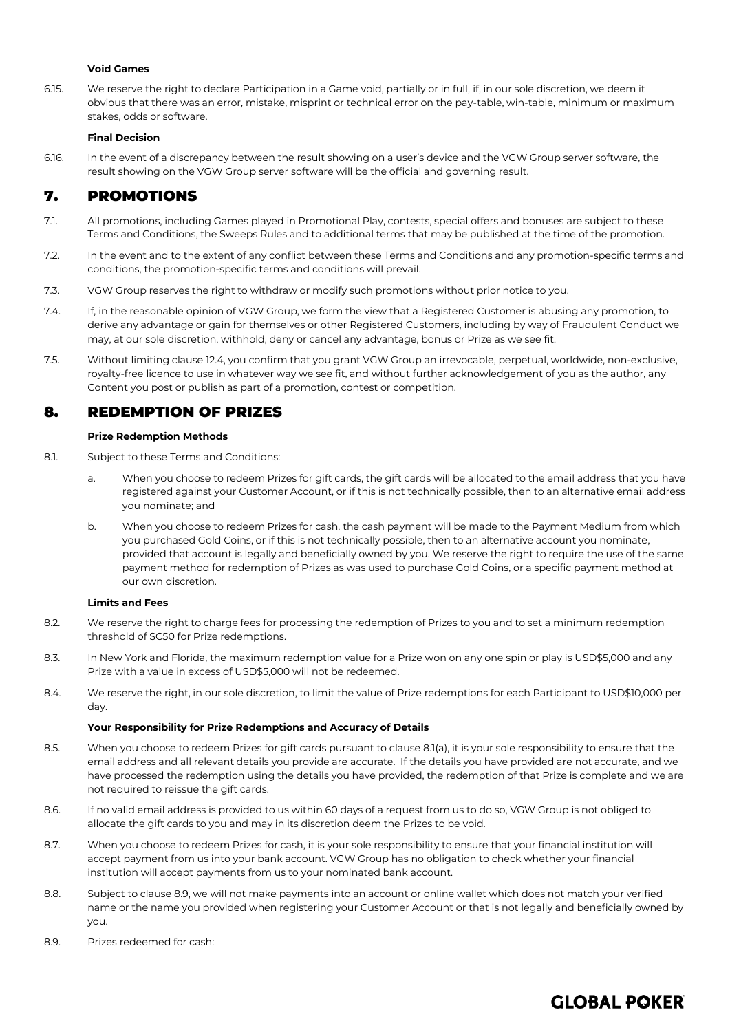## **Void Games**

6.15. We reserve the right to declare Participation in a Game void, partially or in full, if, in our sole discretion, we deem it obvious that there was an error, mistake, misprint or technical error on the pay-table, win-table, minimum or maximum stakes, odds or software.

#### **Final Decision**

6.16. In the event of a discrepancy between the result showing on a user's device and the VGW Group server software, the result showing on the VGW Group server software will be the official and governing result.

## 7. PROMOTIONS

- 7.1. All promotions, including Games played in Promotional Play, contests, special offers and bonuses are subject to these Terms and Conditions, the Sweeps Rules and to additional terms that may be published at the time of the promotion.
- 7.2. In the event and to the extent of any conflict between these Terms and Conditions and any promotion-specific terms and conditions, the promotion-specific terms and conditions will prevail.
- 7.3. VGW Group reserves the right to withdraw or modify such promotions without prior notice to you.
- 7.4. If, in the reasonable opinion of VGW Group, we form the view that a Registered Customer is abusing any promotion, to derive any advantage or gain for themselves or other Registered Customers, including by way of Fraudulent Conduct we may, at our sole discretion, withhold, deny or cancel any advantage, bonus or Prize as we see fit.
- 7.5. Without limiting clause [12.4,](#page-8-2) you confirm that you grant VGW Group an irrevocable, perpetual, worldwide, non-exclusive, royalty-free licence to use in whatever way we see fit, and without further acknowledgement of you as the author, any Content you post or publish as part of a promotion, contest or competition.

## 8. REDEMPTION OF PRIZES

## **Prize Redemption Methods**

- <span id="page-5-0"></span>8.1. Subject to these Terms and Conditions:
	- a. When you choose to redeem Prizes for gift cards, the gift cards will be allocated to the email address that you have registered against your Customer Account, or if this is not technically possible, then to an alternative email address you nominate; and
	- b. When you choose to redeem Prizes for cash, the cash payment will be made to the Payment Medium from which you purchased Gold Coins, or if this is not technically possible, then to an alternative account you nominate, provided that account is legally and beneficially owned by you. We reserve the right to require the use of the same payment method for redemption of Prizes as was used to purchase Gold Coins, or a specific payment method at our own discretion.

#### **Limits and Fees**

- <span id="page-5-2"></span>8.2. We reserve the right to charge fees for processing the redemption of Prizes to you and to set a minimum redemption threshold of SC50 for Prize redemptions.
- 8.3. In New York and Florida, the maximum redemption value for a Prize won on any one spin or play is USD\$5,000 and any Prize with a value in excess of USD\$5,000 will not be redeemed.
- 8.4. We reserve the right, in our sole discretion, to limit the value of Prize redemptions for each Participant to USD\$10,000 per day.

#### **Your Responsibility for Prize Redemptions and Accuracy of Details**

- 8.5. When you choose to redeem Prizes for gift cards pursuant to clause [8.1\(](#page-5-0)a), it is your sole responsibility to ensure that the email address and all relevant details you provide are accurate. If the details you have provided are not accurate, and we have processed the redemption using the details you have provided, the redemption of that Prize is complete and we are not required to reissue the gift cards.
- 8.6. If no valid email address is provided to us within 60 days of a request from us to do so, VGW Group is not obliged to allocate the gift cards to you and may in its discretion deem the Prizes to be void.
- 8.7. When you choose to redeem Prizes for cash, it is your sole responsibility to ensure that your financial institution will accept payment from us into your bank account. VGW Group has no obligation to check whether your financial institution will accept payments from us to your nominated bank account.
- 8.8. Subject to clause [8.9,](#page-5-1) we will not make payments into an account or online wallet which does not match your verified name or the name you provided when registering your Customer Account or that is not legally and beneficially owned by you.
- <span id="page-5-1"></span>8.9. Prizes redeemed for cash: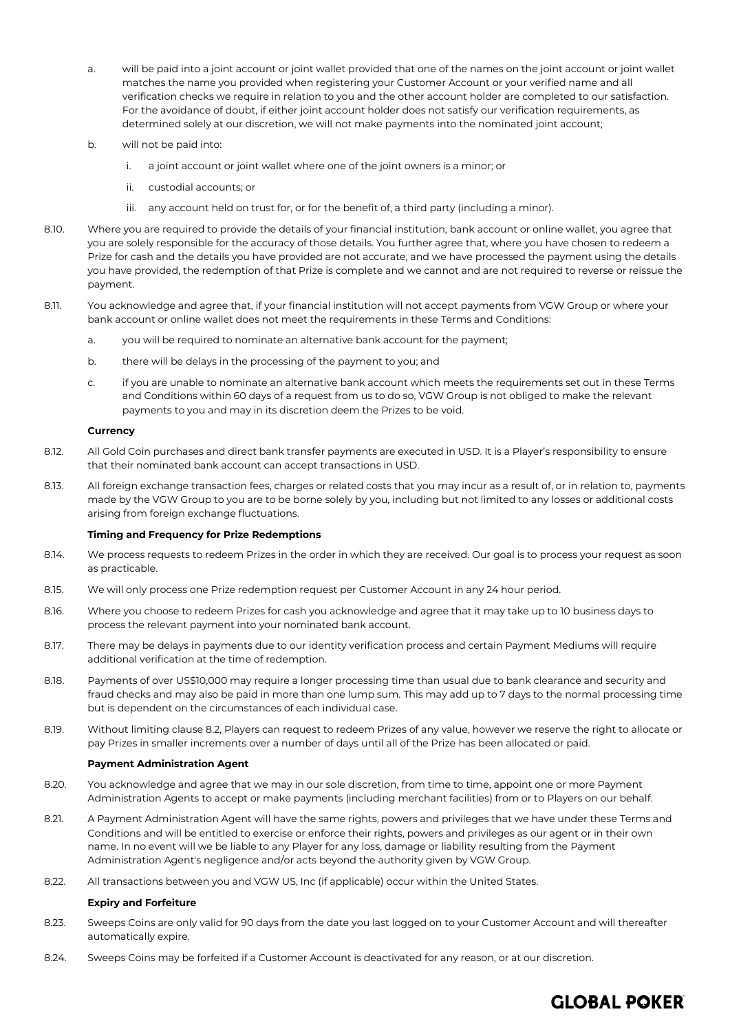- a. will be paid into a joint account or joint wallet provided that one of the names on the joint account or joint wallet matches the name you provided when registering your Customer Account or your verified name and all verification checks we require in relation to you and the other account holder are completed to our satisfaction. For the avoidance of doubt, if either joint account holder does not satisfy our verification requirements, as determined solely at our discretion, we will not make payments into the nominated joint account;
- b. will not be paid into:
	- i. a joint account or joint wallet where one of the joint owners is a minor; or
	- ii. custodial accounts; or
	- iii. any account held on trust for, or for the benefit of, a third party (including a minor).
- 8.10. Where you are required to provide the details of your financial institution, bank account or online wallet, you agree that you are solely responsible for the accuracy of those details. You further agree that, where you have chosen to redeem a Prize for cash and the details you have provided are not accurate, and we have processed the payment using the details you have provided, the redemption of that Prize is complete and we cannot and are not required to reverse or reissue the payment.
- 8.11. You acknowledge and agree that, if your financial institution will not accept payments from VGW Group or where your bank account or online wallet does not meet the requirements in these Terms and Conditions:
	- a. you will be required to nominate an alternative bank account for the payment;
	- b. there will be delays in the processing of the payment to you; and
	- c. if you are unable to nominate an alternative bank account which meets the requirements set out in these Terms and Conditions within 60 days of a request from us to do so, VGW Group is not obliged to make the relevant payments to you and may in its discretion deem the Prizes to be void.

## **Currency**

- 8.12. All Gold Coin purchases and direct bank transfer payments are executed in USD. It is a Player's responsibility to ensure that their nominated bank account can accept transactions in USD.
- 8.13. All foreign exchange transaction fees, charges or related costs that you may incur as a result of, or in relation to, payments made by the VGW Group to you are to be borne solely by you, including but not limited to any losses or additional costs arising from foreign exchange fluctuations.

#### **Timing and Frequency for Prize Redemptions**

- 8.14. We process requests to redeem Prizes in the order in which they are received. Our goal is to process your request as soon as practicable.
- 8.15. We will only process one Prize redemption request per Customer Account in any 24 hour period.
- 8.16. Where you choose to redeem Prizes for cash you acknowledge and agree that it may take up to 10 business days to process the relevant payment into your nominated bank account.
- 8.17. There may be delays in payments due to our identity verification process and certain Payment Mediums will require additional verification at the time of redemption.
- 8.18. Payments of over US\$10,000 may require a longer processing time than usual due to bank clearance and security and fraud checks and may also be paid in more than one lump sum. This may add up to 7 days to the normal processing time but is dependent on the circumstances of each individual case.
- 8.19. Without limiting clause [8.2,](#page-5-2) Players can request to redeem Prizes of any value, however we reserve the right to allocate or pay Prizes in smaller increments over a number of days until all of the Prize has been allocated or paid.

#### **Payment Administration Agent**

- 8.20. You acknowledge and agree that we may in our sole discretion, from time to time, appoint one or more Payment Administration Agents to accept or make payments (including merchant facilities) from or to Players on our behalf.
- 8.21. A Payment Administration Agent will have the same rights, powers and privileges that we have under these Terms and Conditions and will be entitled to exercise or enforce their rights, powers and privileges as our agent or in their own name. In no event will we be liable to any Player for any loss, damage or liability resulting from the Payment Administration Agent's negligence and/or acts beyond the authority given by VGW Group.
- 8.22. All transactions between you and VGW US, Inc (if applicable) occur within the United States.

#### **Expiry and Forfeiture**

- 8.23. Sweeps Coins are only valid for 90 days from the date you last logged on to your Customer Account and will thereafter automatically expire.
- 8.24. Sweeps Coins may be forfeited if a Customer Account is deactivated for any reason, or at our discretion.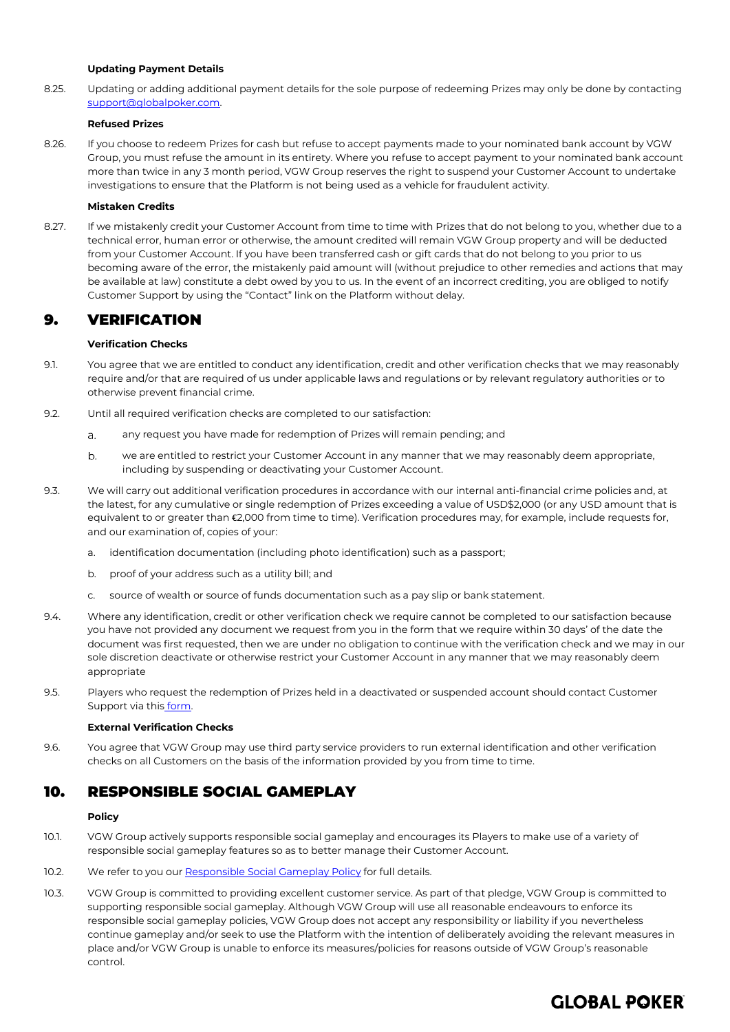## **Updating Payment Details**

8.25. Updating or adding additional payment details for the sole purpose of redeeming Prizes may only be done by contacting [support@globalpoker.com.](mailto:support@globalpoker.com)

## **Refused Prizes**

8.26. If you choose to redeem Prizes for cash but refuse to accept payments made to your nominated bank account by VGW Group, you must refuse the amount in its entirety. Where you refuse to accept payment to your nominated bank account more than twice in any 3 month period, VGW Group reserves the right to suspend your Customer Account to undertake investigations to ensure that the Platform is not being used as a vehicle for fraudulent activity.

## **Mistaken Credits**

8.27. If we mistakenly credit your Customer Account from time to time with Prizes that do not belong to you, whether due to a technical error, human error or otherwise, the amount credited will remain VGW Group property and will be deducted from your Customer Account. If you have been transferred cash or gift cards that do not belong to you prior to us becoming aware of the error, the mistakenly paid amount will (without prejudice to other remedies and actions that may be available at law) constitute a debt owed by you to us. In the event of an incorrect crediting, you are obliged to notify Customer Support by using the "Contact" link on the Platform without delay.

## 9. VERIFICATION

## **Verification Checks**

- 9.1. You agree that we are entitled to conduct any identification, credit and other verification checks that we may reasonably require and/or that are required of us under applicable laws and regulations or by relevant regulatory authorities or to otherwise prevent financial crime.
- 9.2. Until all required verification checks are completed to our satisfaction:
	- any request you have made for redemption of Prizes will remain pending; and  $\overline{a}$ .
	- $b.$ we are entitled to restrict your Customer Account in any manner that we may reasonably deem appropriate, including by suspending or deactivating your Customer Account.
- 9.3. We will carry out additional verification procedures in accordance with our internal anti-financial crime policies and, at the latest, for any cumulative or single redemption of Prizes exceeding a value of USD\$2,000 (or any USD amount that is equivalent to or greater than €2,000 from time to time). Verification procedures may, for example, include requests for, and our examination of, copies of your:
	- a. identification documentation (including photo identification) such as a passport;
	- b. proof of your address such as a utility bill; and
	- c. source of wealth or source of funds documentation such as a pay slip or bank statement.
- 9.4. Where any identification, credit or other verification check we require cannot be completed to our satisfaction because you have not provided any document we request from you in the form that we require within 30 days' of the date the document was first requested, then we are under no obligation to continue with the verification check and we may in our sole discretion deactivate or otherwise restrict your Customer Account in any manner that we may reasonably deem appropriate
- 9.5. Players who request the redemption of Prizes held in a deactivated or suspended account should contact Customer Support via this [form.](https://globalpoker.zendesk.com/hc/en-us/requests/new)

## **External Verification Checks**

9.6. You agree that VGW Group may use third party service providers to run external identification and other verification checks on all Customers on the basis of the information provided by you from time to time.

## 10. RESPONSIBLE SOCIAL GAMEPLAY

## **Policy**

- 10.1. VGW Group actively supports responsible social gameplay and encourages its Players to make use of a variety of responsible social gameplay features so as to better manage their Customer Account.
- 10.2. We refer to you ou[r Responsible Social Gameplay](https://globalpoker.com/responsible-gaming) Policy for full details.
- 10.3. VGW Group is committed to providing excellent customer service. As part of that pledge, VGW Group is committed to supporting responsible social gameplay. Although VGW Group will use all reasonable endeavours to enforce its responsible social gameplay policies, VGW Group does not accept any responsibility or liability if you nevertheless continue gameplay and/or seek to use the Platform with the intention of deliberately avoiding the relevant measures in place and/or VGW Group is unable to enforce its measures/policies for reasons outside of VGW Group's reasonable control.

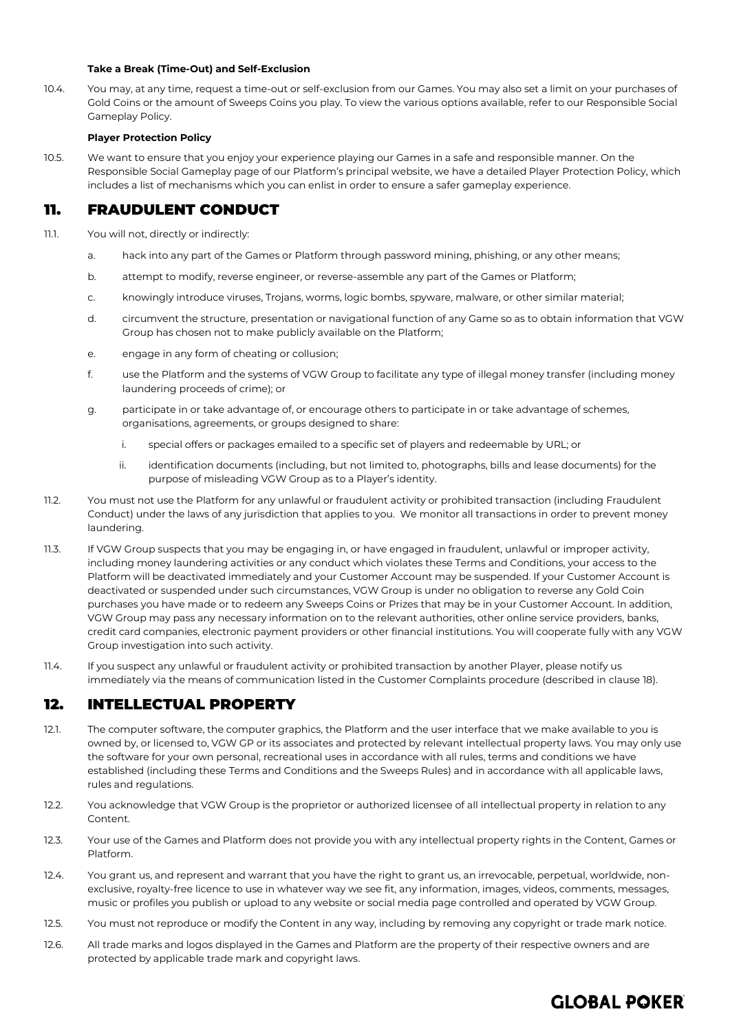## **Take a Break (Time-Out) and Self-Exclusion**

<span id="page-8-1"></span>10.4. You may, at any time, request a time-out or self-exclusion from our Games. You may also set a limit on your purchases of Gold Coins or the amount of Sweeps Coins you play. To view the various options available, refer to our Responsible Social Gameplay Policy.

## **Player Protection Policy**

10.5. We want to ensure that you enjoy your experience playing our Games in a safe and responsible manner. On the Responsible Social Gameplay page of our Platform's principal website, we have a detailed Player Protection Policy, which includes a list of mechanisms which you can enlist in order to ensure a safer gameplay experience.

## 11. FRAUDULENT CONDUCT

- <span id="page-8-0"></span>11.1. You will not, directly or indirectly:
	- a. hack into any part of the Games or Platform through password mining, phishing, or any other means;
	- b. attempt to modify, reverse engineer, or reverse-assemble any part of the Games or Platform;
	- c. knowingly introduce viruses, Trojans, worms, logic bombs, spyware, malware, or other similar material;
	- d. circumvent the structure, presentation or navigational function of any Game so as to obtain information that VGW Group has chosen not to make publicly available on the Platform;
	- e. engage in any form of cheating or collusion;
	- f. use the Platform and the systems of VGW Group to facilitate any type of illegal money transfer (including money laundering proceeds of crime); or
	- g. participate in or take advantage of, or encourage others to participate in or take advantage of schemes, organisations, agreements, or groups designed to share:
		- i. special offers or packages emailed to a specific set of players and redeemable by URL; or
		- ii. identification documents (including, but not limited to, photographs, bills and lease documents) for the purpose of misleading VGW Group as to a Player's identity.
- 11.2. You must not use the Platform for any unlawful or fraudulent activity or prohibited transaction (including Fraudulent Conduct) under the laws of any jurisdiction that applies to you. We monitor all transactions in order to prevent money laundering.
- 11.3. If VGW Group suspects that you may be engaging in, or have engaged in fraudulent, unlawful or improper activity, including money laundering activities or any conduct which violates these Terms and Conditions, your access to the Platform will be deactivated immediately and your Customer Account may be suspended. If your Customer Account is deactivated or suspended under such circumstances, VGW Group is under no obligation to reverse any Gold Coin purchases you have made or to redeem any Sweeps Coins or Prizes that may be in your Customer Account. In addition, VGW Group may pass any necessary information on to the relevant authorities, other online service providers, banks, credit card companies, electronic payment providers or other financial institutions. You will cooperate fully with any VGW Group investigation into such activity.
- 11.4. If you suspect any unlawful or fraudulent activity or prohibited transaction by another Player, please notify us immediately via the means of communication listed in the Customer Complaints procedure (described in claus[e 18\)](#page-10-0).

## 12. INTELLECTUAL PROPERTY

- 12.1. The computer software, the computer graphics, the Platform and the user interface that we make available to you is owned by, or licensed to, VGW GP or its associates and protected by relevant intellectual property laws. You may only use the software for your own personal, recreational uses in accordance with all rules, terms and conditions we have established (including these Terms and Conditions and the Sweeps Rules) and in accordance with all applicable laws, rules and regulations.
- 12.2. You acknowledge that VGW Group is the proprietor or authorized licensee of all intellectual property in relation to any Content.
- 12.3. Your use of the Games and Platform does not provide you with any intellectual property rights in the Content, Games or Platform.
- <span id="page-8-2"></span>12.4. You grant us, and represent and warrant that you have the right to grant us, an irrevocable, perpetual, worldwide, nonexclusive, royalty-free licence to use in whatever way we see fit, any information, images, videos, comments, messages, music or profiles you publish or upload to any website or social media page controlled and operated by VGW Group.
- 12.5. You must not reproduce or modify the Content in any way, including by removing any copyright or trade mark notice.
- 12.6. All trade marks and logos displayed in the Games and Platform are the property of their respective owners and are protected by applicable trade mark and copyright laws.

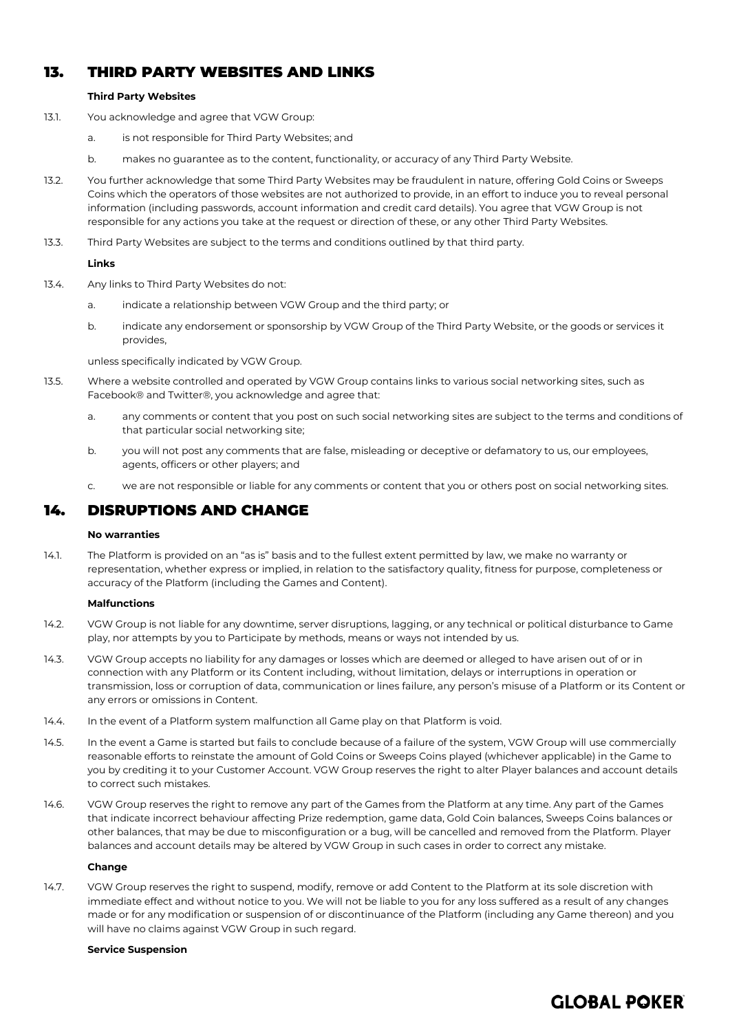## 13. THIRD PARTY WEBSITES AND LINKS

## **Third Party Websites**

- 13.1. You acknowledge and agree that VGW Group:
	- a. is not responsible for Third Party Websites; and
	- b. makes no guarantee as to the content, functionality, or accuracy of any Third Party Website.
- 13.2. You further acknowledge that some Third Party Websites may be fraudulent in nature, offering Gold Coins or Sweeps Coins which the operators of those websites are not authorized to provide, in an effort to induce you to reveal personal information (including passwords, account information and credit card details). You agree that VGW Group is not responsible for any actions you take at the request or direction of these, or any other Third Party Websites.
- 13.3. Third Party Websites are subject to the terms and conditions outlined by that third party.

## **Links**

- 13.4. Any links to Third Party Websites do not:
	- a. indicate a relationship between VGW Group and the third party; or
	- b. indicate any endorsement or sponsorship by VGW Group of the Third Party Website, or the goods or services it provides,

unless specifically indicated by VGW Group.

- 13.5. Where a website controlled and operated by VGW Group contains links to various social networking sites, such as Facebook® and Twitter®, you acknowledge and agree that:
	- a. any comments or content that you post on such social networking sites are subject to the terms and conditions of that particular social networking site;
	- b. you will not post any comments that are false, misleading or deceptive or defamatory to us, our employees, agents, officers or other players; and
	- c. we are not responsible or liable for any comments or content that you or others post on social networking sites.

## <span id="page-9-0"></span>14. DISRUPTIONS AND CHANGE

## **No warranties**

14.1. The Platform is provided on an "as is" basis and to the fullest extent permitted by law, we make no warranty or representation, whether express or implied, in relation to the satisfactory quality, fitness for purpose, completeness or accuracy of the Platform (including the Games and Content).

## **Malfunctions**

- 14.2. VGW Group is not liable for any downtime, server disruptions, lagging, or any technical or political disturbance to Game play, nor attempts by you to Participate by methods, means or ways not intended by us.
- 14.3. VGW Group accepts no liability for any damages or losses which are deemed or alleged to have arisen out of or in connection with any Platform or its Content including, without limitation, delays or interruptions in operation or transmission, loss or corruption of data, communication or lines failure, any person's misuse of a Platform or its Content or any errors or omissions in Content.
- 14.4. In the event of a Platform system malfunction all Game play on that Platform is void.
- 14.5. In the event a Game is started but fails to conclude because of a failure of the system, VGW Group will use commercially reasonable efforts to reinstate the amount of Gold Coins or Sweeps Coins played (whichever applicable) in the Game to you by crediting it to your Customer Account. VGW Group reserves the right to alter Player balances and account details to correct such mistakes.
- 14.6. VGW Group reserves the right to remove any part of the Games from the Platform at any time. Any part of the Games that indicate incorrect behaviour affecting Prize redemption, game data, Gold Coin balances, Sweeps Coins balances or other balances, that may be due to misconfiguration or a bug, will be cancelled and removed from the Platform. Player balances and account details may be altered by VGW Group in such cases in order to correct any mistake.

## **Change**

14.7. VGW Group reserves the right to suspend, modify, remove or add Content to the Platform at its sole discretion with immediate effect and without notice to you. We will not be liable to you for any loss suffered as a result of any changes made or for any modification or suspension of or discontinuance of the Platform (including any Game thereon) and you will have no claims against VGW Group in such regard.

#### **Service Suspension**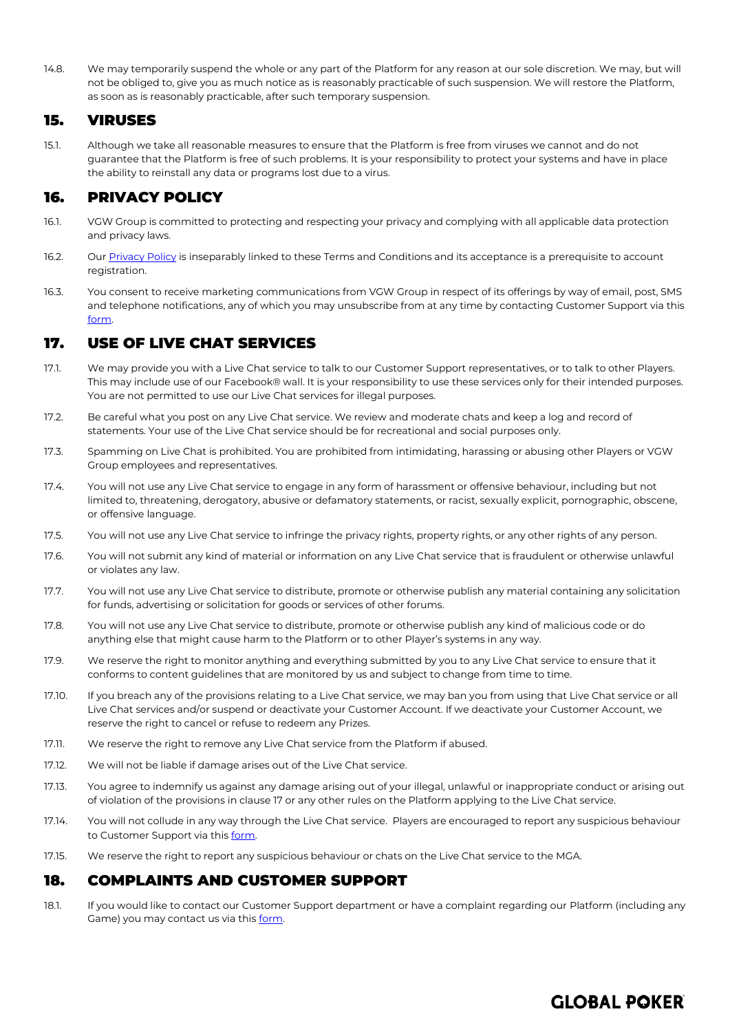14.8. We may temporarily suspend the whole or any part of the Platform for any reason at our sole discretion. We may, but will not be obliged to, give you as much notice as is reasonably practicable of such suspension. We will restore the Platform, as soon as is reasonably practicable, after such temporary suspension.

## <span id="page-10-2"></span>15. VIRUSES

15.1. Although we take all reasonable measures to ensure that the Platform is free from viruses we cannot and do not guarantee that the Platform is free of such problems. It is your responsibility to protect your systems and have in place the ability to reinstall any data or programs lost due to a virus.

## 16. PRIVACY POLICY

- 16.1. VGW Group is committed to protecting and respecting your privacy and complying with all applicable data protection and privacy laws.
- 16.2. Our [Privacy Policy](https://globalpoker.com/privacy-policy) is inseparably linked to these Terms and Conditions and its acceptance is a prerequisite to account registration.
- 16.3. You consent to receive marketing communications from VGW Group in respect of its offerings by way of email, post, SMS and telephone notifications, any of which you may unsubscribe from at any time by contacting Customer Support via thi[s](https://globalpoker.zendesk.com/hc/en-us/requests/new) [form.](https://globalpoker.zendesk.com/hc/en-us/requests/new)

## <span id="page-10-1"></span>17. USE OF LIVE CHAT SERVICES

- 17.1. We may provide you with a Live Chat service to talk to our Customer Support representatives, or to talk to other Players. This may include use of our Facebook® wall. It is your responsibility to use these services only for their intended purposes. You are not permitted to use our Live Chat services for illegal purposes.
- 17.2. Be careful what you post on any Live Chat service. We review and moderate chats and keep a log and record of statements. Your use of the Live Chat service should be for recreational and social purposes only.
- 17.3. Spamming on Live Chat is prohibited. You are prohibited from intimidating, harassing or abusing other Players or VGW Group employees and representatives.
- 17.4. You will not use any Live Chat service to engage in any form of harassment or offensive behaviour, including but not limited to, threatening, derogatory, abusive or defamatory statements, or racist, sexually explicit, pornographic, obscene, or offensive language.
- 17.5. You will not use any Live Chat service to infringe the privacy rights, property rights, or any other rights of any person.
- 17.6. You will not submit any kind of material or information on any Live Chat service that is fraudulent or otherwise unlawful or violates any law.
- 17.7. You will not use any Live Chat service to distribute, promote or otherwise publish any material containing any solicitation for funds, advertising or solicitation for goods or services of other forums.
- 17.8. You will not use any Live Chat service to distribute, promote or otherwise publish any kind of malicious code or do anything else that might cause harm to the Platform or to other Player's systems in any way.
- 17.9. We reserve the right to monitor anything and everything submitted by you to any Live Chat service to ensure that it conforms to content guidelines that are monitored by us and subject to change from time to time.
- 17.10. If you breach any of the provisions relating to a Live Chat service, we may ban you from using that Live Chat service or all Live Chat services and/or suspend or deactivate your Customer Account. If we deactivate your Customer Account, we reserve the right to cancel or refuse to redeem any Prizes.
- 17.11. We reserve the right to remove any Live Chat service from the Platform if abused.
- 17.12. We will not be liable if damage arises out of the Live Chat service.
- 17.13. You agree to indemnify us against any damage arising out of your illegal, unlawful or inappropriate conduct or arising out of violation of the provisions in clause [17](#page-10-1) or any other rules on the Platform applying to the Live Chat service.
- 17.14. You will not collude in any way through the Live Chat service. Players are encouraged to report any suspicious behaviour to Customer Support via thi[s form.](https://globalpoker.zendesk.com/hc/en-us/requests/new)
- 17.15. We reserve the right to report any suspicious behaviour or chats on the Live Chat service to the MGA.

## <span id="page-10-0"></span>18. COMPLAINTS AND CUSTOMER SUPPORT

18.1. If you would like to contact our Customer Support department or have a complaint regarding our Platform (including any Game) you may contact us via thi[s form.](https://globalpoker.zendesk.com/hc/en-us/requests/new)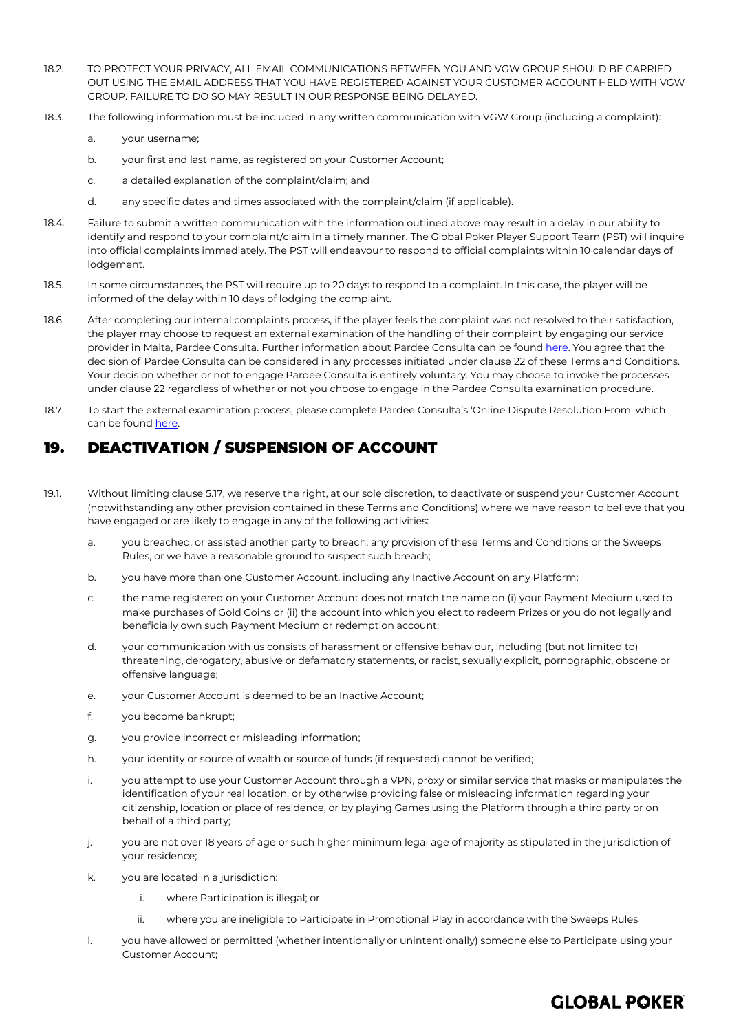- 18.2. TO PROTECT YOUR PRIVACY, ALL EMAIL COMMUNICATIONS BETWEEN YOU AND VGW GROUP SHOULD BE CARRIED OUT USING THE EMAIL ADDRESS THAT YOU HAVE REGISTERED AGAINST YOUR CUSTOMER ACCOUNT HELD WITH VGW GROUP. FAILURE TO DO SO MAY RESULT IN OUR RESPONSE BEING DELAYED.
- 18.3. The following information must be included in any written communication with VGW Group (including a complaint):
	- a. your username;
	- b. your first and last name, as registered on your Customer Account;
	- c. a detailed explanation of the complaint/claim; and
	- d. any specific dates and times associated with the complaint/claim (if applicable).
- 18.4. Failure to submit a written communication with the information outlined above may result in a delay in our ability to identify and respond to your complaint/claim in a timely manner. The Global Poker Player Support Team (PST) will inquire into official complaints immediately. The PST will endeavour to respond to official complaints within 10 calendar days of lodgement.
- 18.5. In some circumstances, the PST will require up to 20 days to respond to a complaint. In this case, the player will be informed of the delay within 10 days of lodging the complaint.
- 18.6. After completing our internal complaints process, if the player feels the complaint was not resolved to their satisfaction, the player may choose to request an external examination of the handling of their complaint by engaging our service provider in Malta, Pardee Consulta. Further information about Pardee Consulta can be found [here.](https://adrbypardee.eu/) You agree that the decision of Pardee Consulta can be considered in any processes initiated under claus[e 22](#page-13-0) of these Terms and Conditions. Your decision whether or not to engage Pardee Consulta is entirely voluntary. You may choose to invoke the processes under clause 22 regardless of whether or not you choose to engage in the Pardee Consulta examination procedure.
- 18.7. To start the external examination process, please complete Pardee Consulta's 'Online Dispute Resolution From' which can be foun[d here.](https://adrbypardee.eu/online-dispute-resolution-form/)

## <span id="page-11-1"></span>19. DEACTIVATION / SUSPENSION OF ACCOUNT

- <span id="page-11-0"></span>19.1. Without limiting clause 5.17, we reserve the right, at our sole discretion, to deactivate or suspend your Customer Account (notwithstanding any other provision contained in these Terms and Conditions) where we have reason to believe that you have engaged or are likely to engage in any of the following activities:
	- a. you breached, or assisted another party to breach, any provision of these Terms and Conditions or the Sweeps Rules, or we have a reasonable ground to suspect such breach;
	- b. you have more than one Customer Account, including any Inactive Account on any Platform;
	- c. the name registered on your Customer Account does not match the name on (i) your Payment Medium used to make purchases of Gold Coins or (ii) the account into which you elect to redeem Prizes or you do not legally and beneficially own such Payment Medium or redemption account;
	- d. your communication with us consists of harassment or offensive behaviour, including (but not limited to) threatening, derogatory, abusive or defamatory statements, or racist, sexually explicit, pornographic, obscene or offensive language;
	- e. your Customer Account is deemed to be an Inactive Account;
	- f. you become bankrupt;
	- g. you provide incorrect or misleading information;
	- h. your identity or source of wealth or source of funds (if requested) cannot be verified;
	- i. you attempt to use your Customer Account through a VPN, proxy or similar service that masks or manipulates the identification of your real location, or by otherwise providing false or misleading information regarding your citizenship, location or place of residence, or by playing Games using the Platform through a third party or on behalf of a third party;
	- j. you are not over 18 years of age or such higher minimum legal age of majority as stipulated in the jurisdiction of your residence;
	- k. you are located in a jurisdiction:
		- i. where Participation is illegal; or
		- ii. where you are ineligible to Participate in Promotional Play in accordance with the Sweeps Rules

**GLOBAL POKER** 

l. you have allowed or permitted (whether intentionally or unintentionally) someone else to Participate using your Customer Account;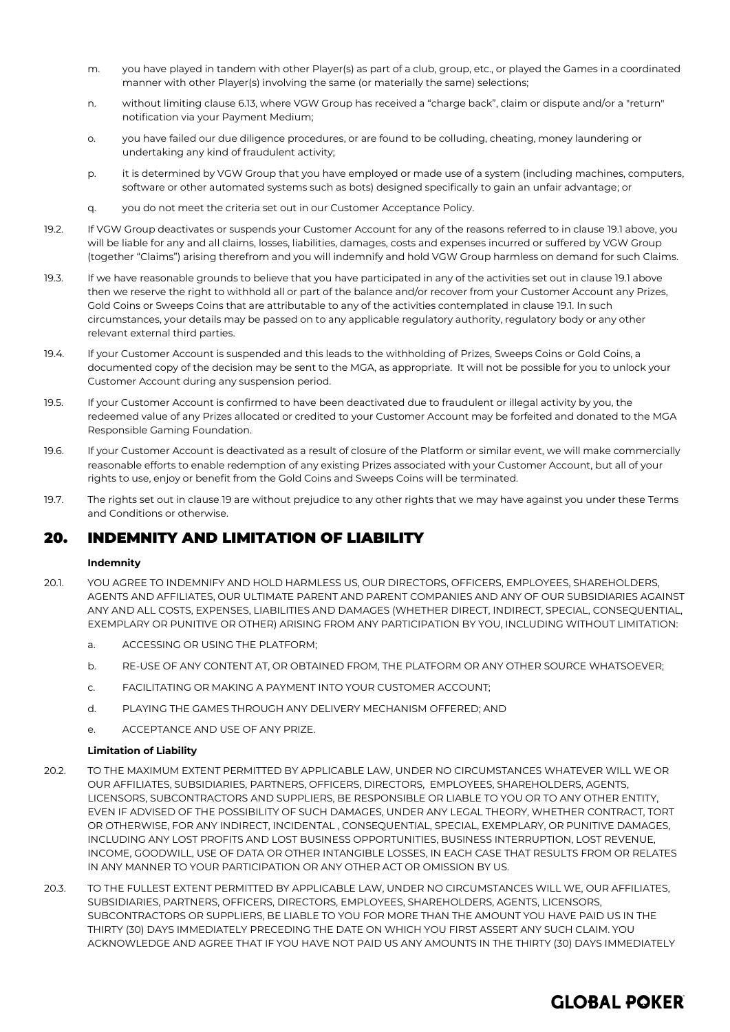- m. you have played in tandem with other Player(s) as part of a club, group, etc., or played the Games in a coordinated manner with other Player(s) involving the same (or materially the same) selections;
- n. without limiting clause 6.13, where VGW Group has received a "charge back", claim or dispute and/or a "return" notification via your Payment Medium;
- o. you have failed our due diligence procedures, or are found to be colluding, cheating, money laundering or undertaking any kind of fraudulent activity;
- p. it is determined by VGW Group that you have employed or made use of a system (including machines, computers, software or other automated systems such as bots) designed specifically to gain an unfair advantage; or
- q. you do not meet the criteria set out in our Customer Acceptance Policy.
- <span id="page-12-0"></span>19.2. If VGW Group deactivates or suspends your Customer Account for any of the reasons referred to in claus[e 19.1](#page-11-0) above, you will be liable for any and all claims, losses, liabilities, damages, costs and expenses incurred or suffered by VGW Group (together "Claims") arising therefrom and you will indemnify and hold VGW Group harmless on demand for such Claims.
- 19.3. If we have reasonable grounds to believe that you have participated in any of the activities set out in claus[e 19.1](#page-11-0) above then we reserve the right to withhold all or part of the balance and/or recover from your Customer Account any Prizes, Gold Coins or Sweeps Coins that are attributable to any of the activities contemplated in clause [19.1.](#page-11-0) In such circumstances, your details may be passed on to any applicable regulatory authority, regulatory body or any other relevant external third parties.
- 19.4. If your Customer Account is suspended and this leads to the withholding of Prizes, Sweeps Coins or Gold Coins, a documented copy of the decision may be sent to the MGA, as appropriate. It will not be possible for you to unlock your Customer Account during any suspension period.
- 19.5. If your Customer Account is confirmed to have been deactivated due to fraudulent or illegal activity by you, the redeemed value of any Prizes allocated or credited to your Customer Account may be forfeited and donated to the MGA Responsible Gaming Foundation.
- 19.6. If your Customer Account is deactivated as a result of closure of the Platform or similar event, we will make commercially reasonable efforts to enable redemption of any existing Prizes associated with your Customer Account, but all of your rights to use, enjoy or benefit from the Gold Coins and Sweeps Coins will be terminated.
- 19.7. The rights set out in clause [19](#page-11-1) are without prejudice to any other rights that we may have against you under these Terms and Conditions or otherwise.

## <span id="page-12-1"></span>20. INDEMNITY AND LIMITATION OF LIABILITY

## **Indemnity**

- 20.1. YOU AGREE TO INDEMNIFY AND HOLD HARMLESS US, OUR DIRECTORS, OFFICERS, EMPLOYEES, SHAREHOLDERS, AGENTS AND AFFILIATES, OUR ULTIMATE PARENT AND PARENT COMPANIES AND ANY OF OUR SUBSIDIARIES AGAINST ANY AND ALL COSTS, EXPENSES, LIABILITIES AND DAMAGES (WHETHER DIRECT, INDIRECT, SPECIAL, CONSEQUENTIAL, EXEMPLARY OR PUNITIVE OR OTHER) ARISING FROM ANY PARTICIPATION BY YOU, INCLUDING WITHOUT LIMITATION:
	- a. ACCESSING OR USING THE PLATFORM;
	- b. RE-USE OF ANY CONTENT AT, OR OBTAINED FROM, THE PLATFORM OR ANY OTHER SOURCE WHATSOEVER;
	- c. FACILITATING OR MAKING A PAYMENT INTO YOUR CUSTOMER ACCOUNT;
	- d. PLAYING THE GAMES THROUGH ANY DELIVERY MECHANISM OFFERED; AND
	- e. ACCEPTANCE AND USE OF ANY PRIZE.

## **Limitation of Liability**

- 20.2. TO THE MAXIMUM EXTENT PERMITTED BY APPLICABLE LAW, UNDER NO CIRCUMSTANCES WHATEVER WILL WE OR OUR AFFILIATES, SUBSIDIARIES, PARTNERS, OFFICERS, DIRECTORS, EMPLOYEES, SHAREHOLDERS, AGENTS, LICENSORS, SUBCONTRACTORS AND SUPPLIERS, BE RESPONSIBLE OR LIABLE TO YOU OR TO ANY OTHER ENTITY, EVEN IF ADVISED OF THE POSSIBILITY OF SUCH DAMAGES, UNDER ANY LEGAL THEORY, WHETHER CONTRACT, TORT OR OTHERWISE, FOR ANY INDIRECT, INCIDENTAL , CONSEQUENTIAL, SPECIAL, EXEMPLARY, OR PUNITIVE DAMAGES, INCLUDING ANY LOST PROFITS AND LOST BUSINESS OPPORTUNITIES, BUSINESS INTERRUPTION, LOST REVENUE, INCOME, GOODWILL, USE OF DATA OR OTHER INTANGIBLE LOSSES, IN EACH CASE THAT RESULTS FROM OR RELATES IN ANY MANNER TO YOUR PARTICIPATION OR ANY OTHER ACT OR OMISSION BY US.
- 20.3. TO THE FULLEST EXTENT PERMITTED BY APPLICABLE LAW, UNDER NO CIRCUMSTANCES WILL WE, OUR AFFILIATES, SUBSIDIARIES, PARTNERS, OFFICERS, DIRECTORS, EMPLOYEES, SHAREHOLDERS, AGENTS, LICENSORS, SUBCONTRACTORS OR SUPPLIERS, BE LIABLE TO YOU FOR MORE THAN THE AMOUNT YOU HAVE PAID US IN THE THIRTY (30) DAYS IMMEDIATELY PRECEDING THE DATE ON WHICH YOU FIRST ASSERT ANY SUCH CLAIM. YOU ACKNOWLEDGE AND AGREE THAT IF YOU HAVE NOT PAID US ANY AMOUNTS IN THE THIRTY (30) DAYS IMMEDIATELY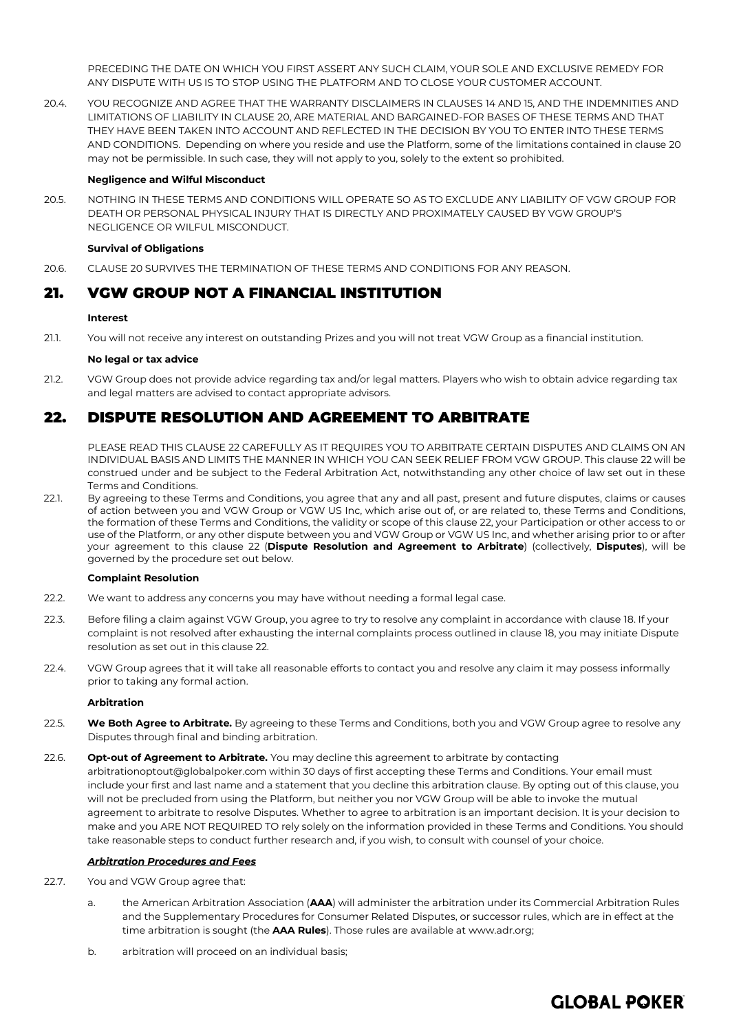PRECEDING THE DATE ON WHICH YOU FIRST ASSERT ANY SUCH CLAIM, YOUR SOLE AND EXCLUSIVE REMEDY FOR ANY DISPUTE WITH US IS TO STOP USING THE PLATFORM AND TO CLOSE YOUR CUSTOMER ACCOUNT.

20.4. YOU RECOGNIZE AND AGREE THAT THE WARRANTY DISCLAIMERS IN CLAUSES [14](#page-9-0) AN[D 15,](#page-10-2) AND THE INDEMNITIES AND LIMITATIONS OF LIABILITY IN CLAUS[E 20,](#page-12-1) ARE MATERIAL AND BARGAINED-FOR BASES OF THESE TERMS AND THAT THEY HAVE BEEN TAKEN INTO ACCOUNT AND REFLECTED IN THE DECISION BY YOU TO ENTER INTO THESE TERMS AND CONDITIONS. Depending on where you reside and use the Platform, some of the limitations contained in claus[e 20](#page-12-1) may not be permissible. In such case, they will not apply to you, solely to the extent so prohibited.

## **Negligence and Wilful Misconduct**

20.5. NOTHING IN THESE TERMS AND CONDITIONS WILL OPERATE SO AS TO EXCLUDE ANY LIABILITY OF VGW GROUP FOR DEATH OR PERSONAL PHYSICAL INJURY THAT IS DIRECTLY AND PROXIMATELY CAUSED BY VGW GROUP'S NEGLIGENCE OR WILFUL MISCONDUCT.

## **Survival of Obligations**

20.6. CLAUS[E 20](#page-12-1) SURVIVES THE TERMINATION OF THESE TERMS AND CONDITIONS FOR ANY REASON.

## 21. VGW GROUP NOT A FINANCIAL INSTITUTION

## **Interest**

21.1. You will not receive any interest on outstanding Prizes and you will not treat VGW Group as a financial institution.

## **No legal or tax advice**

21.2. VGW Group does not provide advice regarding tax and/or legal matters. Players who wish to obtain advice regarding tax and legal matters are advised to contact appropriate advisors.

## <span id="page-13-0"></span>22. DISPUTE RESOLUTION AND AGREEMENT TO ARBITRATE

PLEASE READ THIS CLAUS[E 22](#page-13-0) CAREFULLY AS IT REQUIRES YOU TO ARBITRATE CERTAIN DISPUTES AND CLAIMS ON AN INDIVIDUAL BASIS AND LIMITS THE MANNER IN WHICH YOU CAN SEEK RELIEF FROM VGW GROUP. This claus[e 22](#page-13-0) will be construed under and be subject to the Federal Arbitration Act, notwithstanding any other choice of law set out in these Terms and Conditions.

22.1. By agreeing to these Terms and Conditions, you agree that any and all past, present and future disputes, claims or causes of action between you and VGW Group or VGW US Inc, which arise out of, or are related to, these Terms and Conditions, the formation of these Terms and Conditions, the validity or scope of this claus[e 22,](#page-13-0) your Participation or other access to or use of the Platform, or any other dispute between you and VGW Group or VGW US Inc, and whether arising prior to or after your agreement to this clause [22](#page-13-0) (**Dispute Resolution and Agreement to Arbitrate**) (collectively, **Disputes**), will be governed by the procedure set out below.

## **Complaint Resolution**

- 22.2. We want to address any concerns you may have without needing a formal legal case.
- 22.3. Before filing a claim against VGW Group, you agree to try to resolve any complaint in accordance with claus[e 18.](#page-10-0) If your complaint is not resolved after exhausting the internal complaints process outlined in clause 18, you may initiate Dispute resolution as set out in this claus[e 22.](#page-13-0)
- 22.4. VGW Group agrees that it will take all reasonable efforts to contact you and resolve any claim it may possess informally prior to taking any formal action.

## **Arbitration**

- 22.5. **We Both Agree to Arbitrate.** By agreeing to these Terms and Conditions, both you and VGW Group agree to resolve any Disputes through final and binding arbitration.
- 22.6. **Opt-out of Agreement to Arbitrate.** You may decline this agreement to arbitrate by contacting arbitrationoptout@globalpoker.com within 30 days of first accepting these Terms and Conditions. Your email must include your first and last name and a statement that you decline this arbitration clause. By opting out of this clause, you will not be precluded from using the Platform, but neither you nor VGW Group will be able to invoke the mutual agreement to arbitrate to resolve Disputes. Whether to agree to arbitration is an important decision. It is your decision to make and you ARE NOT REQUIRED TO rely solely on the information provided in these Terms and Conditions. You should take reasonable steps to conduct further research and, if you wish, to consult with counsel of your choice.

## *Arbitration Procedures and Fees*

- <span id="page-13-1"></span>22.7. You and VGW Group agree that:
	- a. the American Arbitration Association (**AAA**) will administer the arbitration under its Commercial Arbitration Rules and the Supplementary Procedures for Consumer Related Disputes, or successor rules, which are in effect at the time arbitration is sought (the **AAA Rules**). Those rules are available at [www.adr.org;](http://www.adr.org/)
	- b. arbitration will proceed on an individual basis;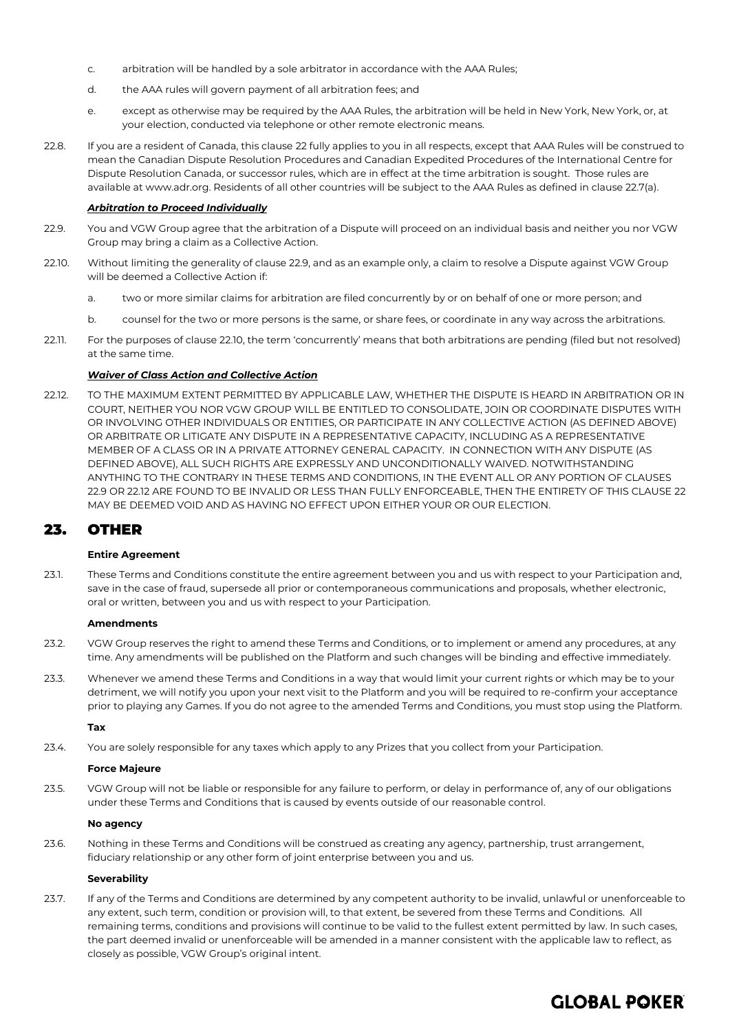- c. arbitration will be handled by a sole arbitrator in accordance with the AAA Rules;
- d. the AAA rules will govern payment of all arbitration fees; and
- e. except as otherwise may be required by the AAA Rules, the arbitration will be held in New York, New York, or, at your election, conducted via telephone or other remote electronic means.
- 22.8. If you are a resident of Canada, this clause [22](#page-13-0) fully applies to you in all respects, except that AAA Rules will be construed to mean the Canadian Dispute Resolution Procedures and Canadian Expedited Procedures of the International Centre for Dispute Resolution Canada, or successor rules, which are in effect at the time arbitration is sought. Those rules are available at [www.adr.org.](http://www.adr.org/) Residents of all other countries will be subject to the AAA Rules as defined in claus[e 22.7\(](#page-13-1)a).

## *Arbitration to Proceed Individually*

- <span id="page-14-0"></span>22.9. You and VGW Group agree that the arbitration of a Dispute will proceed on an individual basis and neither you nor VGW Group may bring a claim as a Collective Action.
- <span id="page-14-1"></span>22.10. Without limiting the generality of claus[e 22.9,](#page-14-0) and as an example only, a claim to resolve a Dispute against VGW Group will be deemed a Collective Action if:
	- a. two or more similar claims for arbitration are filed concurrently by or on behalf of one or more person; and
	- b. counsel for the two or more persons is the same, or share fees, or coordinate in any way across the arbitrations.
- 22.11. For the purposes of clause [22.10](#page-14-1), the term 'concurrently' means that both arbitrations are pending (filed but not resolved) at the same time.

## *Waiver of Class Action and Collective Action*

22.12. TO THE MAXIMUM EXTENT PERMITTED BY APPLICABLE LAW, WHETHER THE DISPUTE IS HEARD IN ARBITRATION OR IN COURT, NEITHER YOU NOR VGW GROUP WILL BE ENTITLED TO CONSOLIDATE, JOIN OR COORDINATE DISPUTES WITH OR INVOLVING OTHER INDIVIDUALS OR ENTITIES, OR PARTICIPATE IN ANY COLLECTIVE ACTION (AS DEFINED ABOVE) OR ARBITRATE OR LITIGATE ANY DISPUTE IN A REPRESENTATIVE CAPACITY, INCLUDING AS A REPRESENTATIVE MEMBER OF A CLASS OR IN A PRIVATE ATTORNEY GENERAL CAPACITY. IN CONNECTION WITH ANY DISPUTE (AS DEFINED ABOVE), ALL SUCH RIGHTS ARE EXPRESSLY AND UNCONDITIONALLY WAIVED. NOTWITHSTANDING ANYTHING TO THE CONTRARY IN THESE TERMS AND CONDITIONS, IN THE EVENT ALL OR ANY PORTION OF CLAUSES [22.9](#page-14-0) OR 22.12 ARE FOUND TO BE INVALID OR LESS THAN FULLY ENFORCEABLE, THEN THE ENTIRETY OF THIS CLAUSE 22 MAY BE DEEMED VOID AND AS HAVING NO EFFECT UPON EITHER YOUR OR OUR ELECTION.

## 23. OTHER

## **Entire Agreement**

23.1. These Terms and Conditions constitute the entire agreement between you and us with respect to your Participation and, save in the case of fraud, supersede all prior or contemporaneous communications and proposals, whether electronic, oral or written, between you and us with respect to your Participation.

## **Amendments**

- 23.2. VGW Group reserves the right to amend these Terms and Conditions, or to implement or amend any procedures, at any time. Any amendments will be published on the Platform and such changes will be binding and effective immediately.
- 23.3. Whenever we amend these Terms and Conditions in a way that would limit your current rights or which may be to your detriment, we will notify you upon your next visit to the Platform and you will be required to re-confirm your acceptance prior to playing any Games. If you do not agree to the amended Terms and Conditions, you must stop using the Platform.

## **Tax**

23.4. You are solely responsible for any taxes which apply to any Prizes that you collect from your Participation.

## **Force Majeure**

23.5. VGW Group will not be liable or responsible for any failure to perform, or delay in performance of, any of our obligations under these Terms and Conditions that is caused by events outside of our reasonable control.

## **No agency**

23.6. Nothing in these Terms and Conditions will be construed as creating any agency, partnership, trust arrangement, fiduciary relationship or any other form of joint enterprise between you and us.

## **Severability**

23.7. If any of the Terms and Conditions are determined by any competent authority to be invalid, unlawful or unenforceable to any extent, such term, condition or provision will, to that extent, be severed from these Terms and Conditions. All remaining terms, conditions and provisions will continue to be valid to the fullest extent permitted by law. In such cases, the part deemed invalid or unenforceable will be amended in a manner consistent with the applicable law to reflect, as closely as possible, VGW Group's original intent.